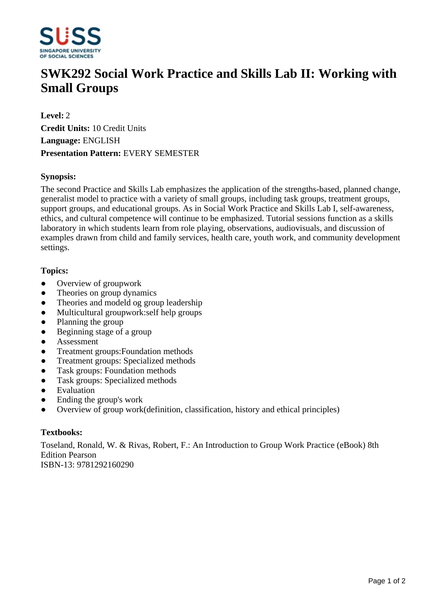

# **SWK292 Social Work Practice and Skills Lab II: Working with Small Groups**

**Level:** 2 **Credit Units:** 10 Credit Units **Language:** ENGLISH **Presentation Pattern:** EVERY SEMESTER

## **Synopsis:**

The second Practice and Skills Lab emphasizes the application of the strengths-based, planned change, generalist model to practice with a variety of small groups, including task groups, treatment groups, support groups, and educational groups. As in Social Work Practice and Skills Lab I, self-awareness, ethics, and cultural competence will continue to be emphasized. Tutorial sessions function as a skills laboratory in which students learn from role playing, observations, audiovisuals, and discussion of examples drawn from child and family services, health care, youth work, and community development settings.

### **Topics:**

- Overview of groupwork
- Theories on group dynamics
- Theories and modeld og group leadership
- Multicultural groupwork:self help groups
- ƔPlanning the group
- $\bullet$  Beginning stage of a group
- ƔAssessment
- Treatment groups: Foundation methods
- ƔTreatment groups: Specialized methods
- Task groups: Foundation methods
- Task groups: Specialized methods
- Evaluation
- Ending the group's work
- ƔOverview of group work(definition, classification, history and ethical principles)

### **Textbooks:**

Toseland, Ronald, W. & Rivas, Robert, F.: An Introduction to Group Work Practice (eBook) 8th Edition Pearson ISBN-13: 9781292160290